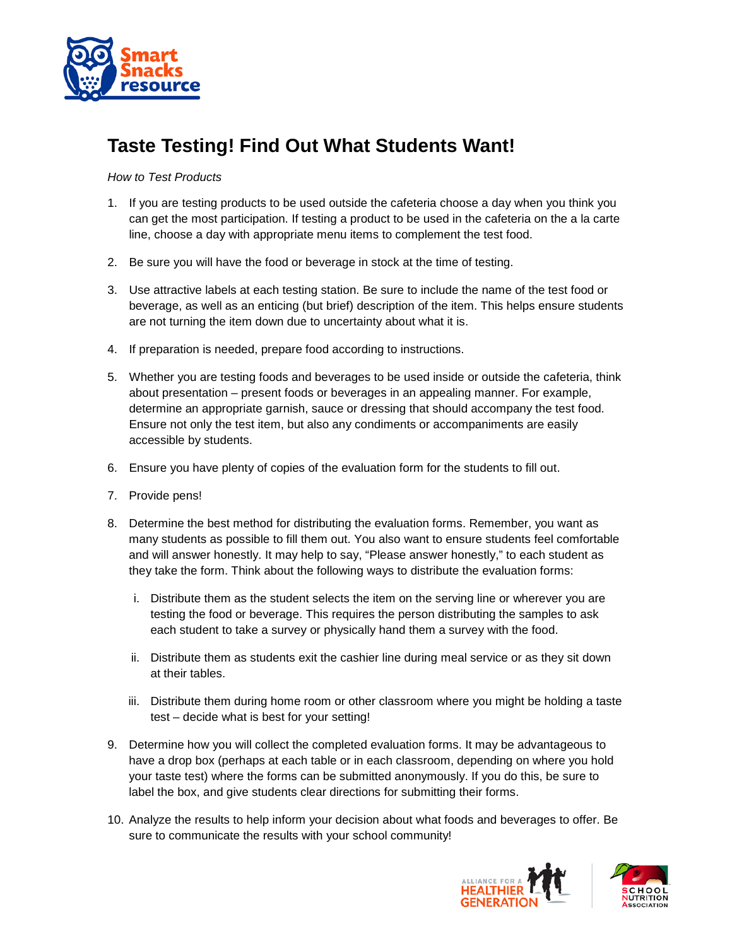

## **Taste Testing! Find Out What Students Want!**

## *How to Test Products*

- 1. If you are testing products to be used outside the cafeteria choose a day when you think you can get the most participation. If testing a product to be used in the cafeteria on the a la carte line, choose a day with appropriate menu items to complement the test food.
- 2. Be sure you will have the food or beverage in stock at the time of testing.
- 3. Use attractive labels at each testing station. Be sure to include the name of the test food or beverage, as well as an enticing (but brief) description of the item. This helps ensure students are not turning the item down due to uncertainty about what it is.
- 4. If preparation is needed, prepare food according to instructions.
- 5. Whether you are testing foods and beverages to be used inside or outside the cafeteria, think about presentation – present foods or beverages in an appealing manner. For example, determine an appropriate garnish, sauce or dressing that should accompany the test food. Ensure not only the test item, but also any condiments or accompaniments are easily accessible by students.
- 6. Ensure you have plenty of copies of the evaluation form for the students to fill out.
- 7. Provide pens!
- 8. Determine the best method for distributing the evaluation forms. Remember, you want as many students as possible to fill them out. You also want to ensure students feel comfortable and will answer honestly. It may help to say, "Please answer honestly," to each student as they take the form. Think about the following ways to distribute the evaluation forms:
	- i. Distribute them as the student selects the item on the serving line or wherever you are testing the food or beverage. This requires the person distributing the samples to ask each student to take a survey or physically hand them a survey with the food.
	- ii. Distribute them as students exit the cashier line during meal service or as they sit down at their tables.
	- iii. Distribute them during home room or other classroom where you might be holding a taste test – decide what is best for your setting!
- 9. Determine how you will collect the completed evaluation forms. It may be advantageous to have a drop box (perhaps at each table or in each classroom, depending on where you hold your taste test) where the forms can be submitted anonymously. If you do this, be sure to label the box, and give students clear directions for submitting their forms.
- 10. Analyze the results to help inform your decision about what foods and beverages to offer. Be sure to communicate the results with your school community!



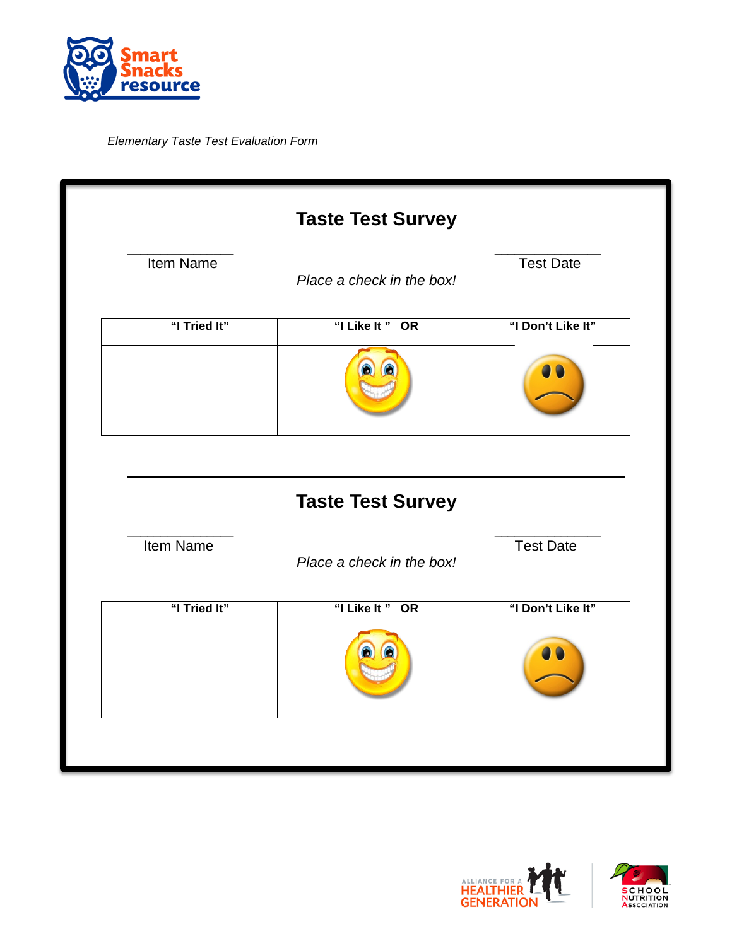

*Elementary Taste Test Evaluation Form* 

|              | <b>Taste Test Survey</b>  |                   |
|--------------|---------------------------|-------------------|
| Item Name    | Place a check in the box! | <b>Test Date</b>  |
| "I Tried It" | "I Like It" OR            | "I Don't Like It" |
|              |                           |                   |
|              |                           |                   |
|              |                           |                   |
|              | <b>Taste Test Survey</b>  |                   |
| Item Name    | Place a check in the box! | <b>Test Date</b>  |
| "I Tried It" | "I Like It" OR            | "I Don't Like It" |



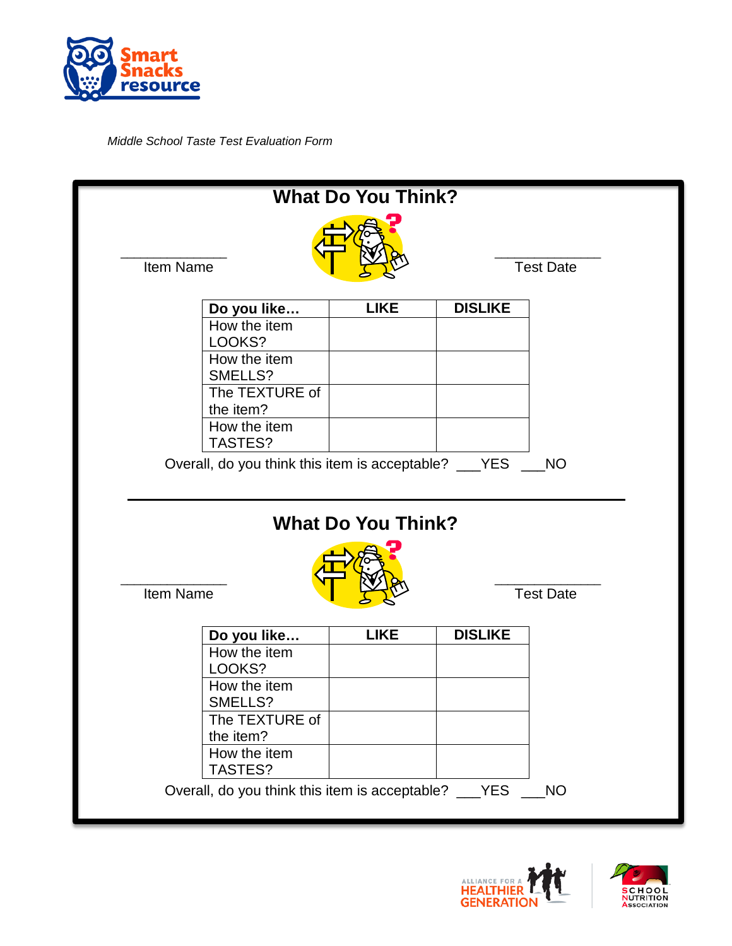

*Middle School Taste Test Evaluation Form* 

|           |                                                                 | <b>What Do You Think?</b> |                |                  |
|-----------|-----------------------------------------------------------------|---------------------------|----------------|------------------|
| Item Name |                                                                 |                           |                | <b>Test Date</b> |
|           | Do you like                                                     | <b>LIKE</b>               | <b>DISLIKE</b> |                  |
|           | How the item<br>LOOKS?                                          |                           |                |                  |
|           | How the item                                                    |                           |                |                  |
|           | SMELLS?<br>The TEXTURE of<br>the item?                          |                           |                |                  |
|           | How the item<br>TASTES?                                         |                           |                |                  |
|           | Overall, do you think this item is acceptable? ___YES           |                           |                | <b>NO</b>        |
|           |                                                                 | <b>What Do You Think?</b> |                |                  |
| Item Name |                                                                 |                           |                | <b>Test Date</b> |
|           | Do you like                                                     | <b>LIKE</b>               | <b>DISLIKE</b> |                  |
|           | How the item<br>LOOKS?                                          |                           |                |                  |
|           | How the item                                                    |                           |                |                  |
|           | SMELLS?<br>The TEXTURE of                                       |                           |                |                  |
|           | the item?                                                       |                           |                |                  |
|           | How the item                                                    |                           |                |                  |
|           | TASTES?<br>Overall, do you think this item is acceptable? __YES |                           |                | <b>NO</b>        |
|           |                                                                 |                           |                |                  |